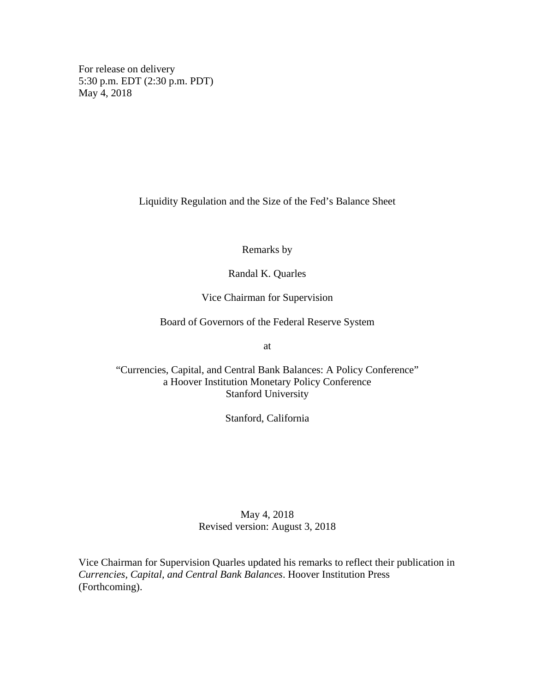For release on delivery 5:30 p.m. EDT (2:30 p.m. PDT) May 4, 2018

Liquidity Regulation and the Size of the Fed's Balance Sheet

Remarks by

Randal K. Quarles

Vice Chairman for Supervision

Board of Governors of the Federal Reserve System

at

"Currencies, Capital, and Central Bank Balances: A Policy Conference" a Hoover Institution Monetary Policy Conference Stanford University

Stanford, California

May 4, 2018 Revised version: August 3, 2018

Vice Chairman for Supervision Quarles updated his remarks to reflect their publication in *Currencies, Capital, and Central Bank Balances*. Hoover Institution Press (Forthcoming).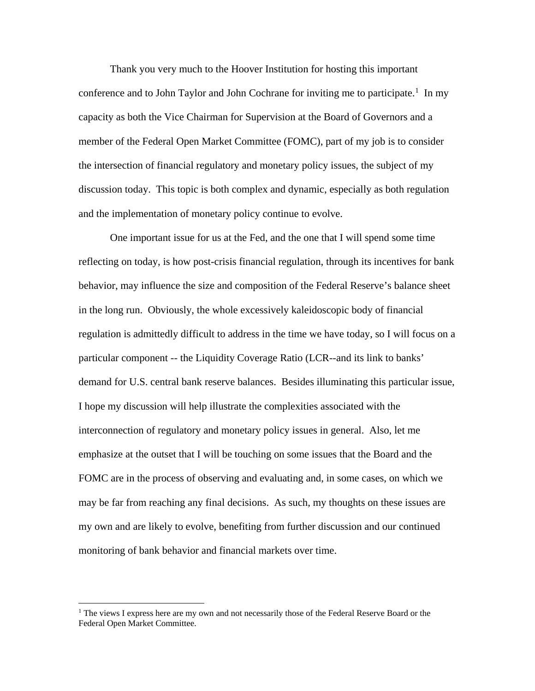Thank you very much to the Hoover Institution for hosting this important conference and to John Taylor and John Cochrane for inviting me to participate.<sup>[1](#page-1-0)</sup> In my capacity as both the Vice Chairman for Supervision at the Board of Governors and a member of the Federal Open Market Committee (FOMC), part of my job is to consider the intersection of financial regulatory and monetary policy issues, the subject of my discussion today. This topic is both complex and dynamic, especially as both regulation and the implementation of monetary policy continue to evolve.

One important issue for us at the Fed, and the one that I will spend some time reflecting on today, is how post-crisis financial regulation, through its incentives for bank behavior, may influence the size and composition of the Federal Reserve's balance sheet in the long run. Obviously, the whole excessively kaleidoscopic body of financial regulation is admittedly difficult to address in the time we have today, so I will focus on a particular component -- the Liquidity Coverage Ratio (LCR--and its link to banks' demand for U.S. central bank reserve balances. Besides illuminating this particular issue, I hope my discussion will help illustrate the complexities associated with the interconnection of regulatory and monetary policy issues in general. Also, let me emphasize at the outset that I will be touching on some issues that the Board and the FOMC are in the process of observing and evaluating and, in some cases, on which we may be far from reaching any final decisions. As such, my thoughts on these issues are my own and are likely to evolve, benefiting from further discussion and our continued monitoring of bank behavior and financial markets over time.

<span id="page-1-0"></span><sup>&</sup>lt;sup>1</sup> The views I express here are my own and not necessarily those of the Federal Reserve Board or the Federal Open Market Committee.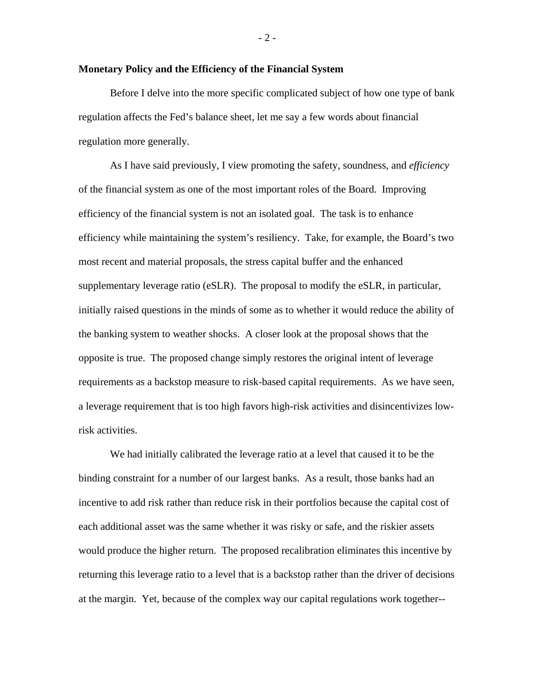## **Monetary Policy and the Efficiency of the Financial System**

Before I delve into the more specific complicated subject of how one type of bank regulation affects the Fed's balance sheet, let me say a few words about financial regulation more generally.

As I have said previously, I view promoting the safety, soundness, and *efficiency* of the financial system as one of the most important roles of the Board. Improving efficiency of the financial system is not an isolated goal. The task is to enhance efficiency while maintaining the system's resiliency. Take, for example, the Board's two most recent and material proposals, the stress capital buffer and the enhanced supplementary leverage ratio (eSLR). The proposal to modify the eSLR, in particular, initially raised questions in the minds of some as to whether it would reduce the ability of the banking system to weather shocks. A closer look at the proposal shows that the opposite is true. The proposed change simply restores the original intent of leverage requirements as a backstop measure to risk-based capital requirements. As we have seen, a leverage requirement that is too high favors high-risk activities and disincentivizes lowrisk activities.

We had initially calibrated the leverage ratio at a level that caused it to be the binding constraint for a number of our largest banks. As a result, those banks had an incentive to add risk rather than reduce risk in their portfolios because the capital cost of each additional asset was the same whether it was risky or safe, and the riskier assets would produce the higher return. The proposed recalibration eliminates this incentive by returning this leverage ratio to a level that is a backstop rather than the driver of decisions at the margin. Yet, because of the complex way our capital regulations work together--

 $-2-$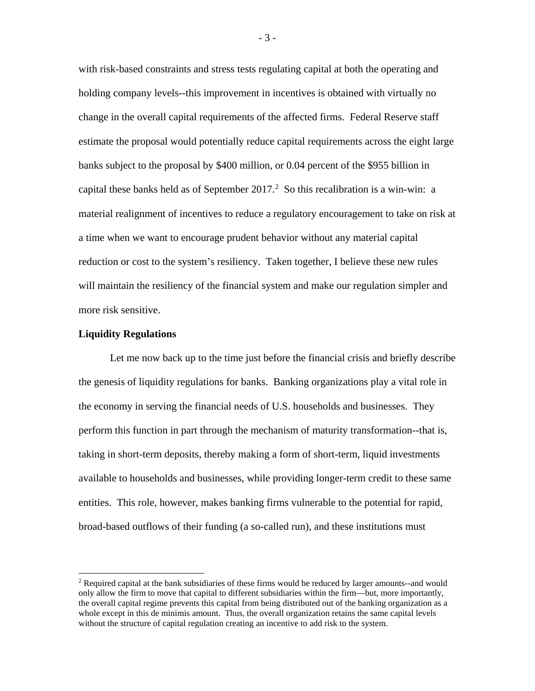with risk-based constraints and stress tests regulating capital at both the operating and holding company levels--this improvement in incentives is obtained with virtually no change in the overall capital requirements of the affected firms. Federal Reserve staff estimate the proposal would potentially reduce capital requirements across the eight large banks subject to the proposal by \$400 million, or 0.04 percent of the \$955 billion in capital these banks held as of September [2](#page-3-0)017.<sup>2</sup> So this recalibration is a win-win: a material realignment of incentives to reduce a regulatory encouragement to take on risk at a time when we want to encourage prudent behavior without any material capital reduction or cost to the system's resiliency. Taken together, I believe these new rules will maintain the resiliency of the financial system and make our regulation simpler and more risk sensitive.

## **Liquidity Regulations**

Let me now back up to the time just before the financial crisis and briefly describe the genesis of liquidity regulations for banks. Banking organizations play a vital role in the economy in serving the financial needs of U.S. households and businesses. They perform this function in part through the mechanism of maturity transformation--that is, taking in short-term deposits, thereby making a form of short-term, liquid investments available to households and businesses, while providing longer-term credit to these same entities. This role, however, makes banking firms vulnerable to the potential for rapid, broad-based outflows of their funding (a so-called run), and these institutions must

- 3 -

<span id="page-3-0"></span><sup>&</sup>lt;sup>2</sup> Required capital at the bank subsidiaries of these firms would be reduced by larger amounts--and would only allow the firm to move that capital to different subsidiaries within the firm—but, more importantly, the overall capital regime prevents this capital from being distributed out of the banking organization as a whole except in this de minimis amount. Thus, the overall organization retains the same capital levels without the structure of capital regulation creating an incentive to add risk to the system.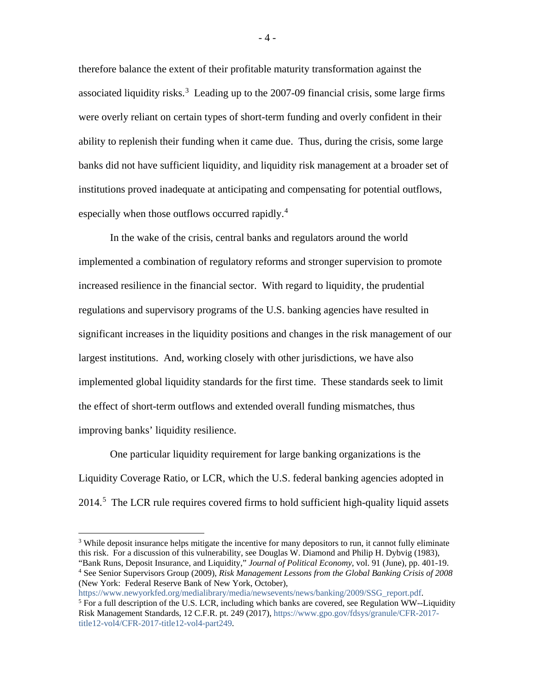therefore balance the extent of their profitable maturity transformation against the associated liquidity risks. $3$  Leading up to the 2007-09 financial crisis, some large firms were overly reliant on certain types of short-term funding and overly confident in their ability to replenish their funding when it came due. Thus, during the crisis, some large banks did not have sufficient liquidity, and liquidity risk management at a broader set of institutions proved inadequate at anticipating and compensating for potential outflows, especially when those outflows occurred rapidly. [4](#page-4-1)

In the wake of the crisis, central banks and regulators around the world implemented a combination of regulatory reforms and stronger supervision to promote increased resilience in the financial sector. With regard to liquidity, the prudential regulations and supervisory programs of the U.S. banking agencies have resulted in significant increases in the liquidity positions and changes in the risk management of our largest institutions. And, working closely with other jurisdictions, we have also implemented global liquidity standards for the first time. These standards seek to limit the effect of short-term outflows and extended overall funding mismatches, thus improving banks' liquidity resilience.

One particular liquidity requirement for large banking organizations is the Liquidity Coverage Ratio, or LCR, which the U.S. federal banking agencies adopted in 2014.<sup>[5](#page-4-2)</sup> The LCR rule requires covered firms to hold sufficient high-quality liquid assets

<span id="page-4-0"></span> $3$  While deposit insurance helps mitigate the incentive for many depositors to run, it cannot fully eliminate this risk. For a discussion of this vulnerability, see Douglas W. Diamond and Philip H. Dybvig (1983), "Bank Runs, Deposit Insurance, and Liquidity," *Journal of Political Economy*, vol. 91 (June), pp. 401-19.

<span id="page-4-1"></span><sup>4</sup> See Senior Supervisors Group (2009), *Risk Management Lessons from the Global Banking Crisis of 2008* (New York: Federal Reserve Bank of New York, October),

<span id="page-4-2"></span>https://www.newyorkfed.org/medialibrary/media/newsevents/news/banking/2009/SSG\_report.pdf.<br><sup>5</sup> For a full description of the U.S. LCR, including which banks are covered, see Regulation WW--Liquidity Risk Management Standards, 12 C.F.R. pt. 249 (2017), [https://www.gpo.gov/fdsys/granule/CFR-2017](https://www.gpo.gov/fdsys/granule/CFR-2017-title12-vol4/CFR-2017-title12-vol4-part249) [title12-vol4/CFR-2017-title12-vol4-part249.](https://www.gpo.gov/fdsys/granule/CFR-2017-title12-vol4/CFR-2017-title12-vol4-part249)

- 4 -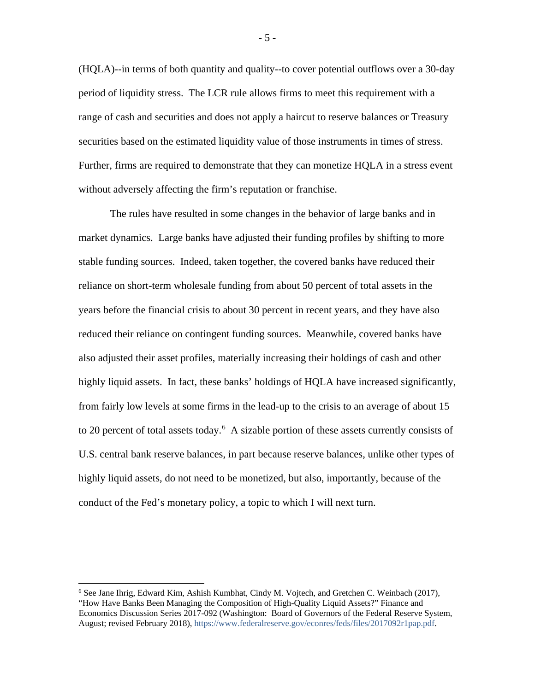(HQLA)--in terms of both quantity and quality--to cover potential outflows over a 30-day period of liquidity stress. The LCR rule allows firms to meet this requirement with a range of cash and securities and does not apply a haircut to reserve balances or Treasury securities based on the estimated liquidity value of those instruments in times of stress. Further, firms are required to demonstrate that they can monetize HQLA in a stress event without adversely affecting the firm's reputation or franchise.

The rules have resulted in some changes in the behavior of large banks and in market dynamics. Large banks have adjusted their funding profiles by shifting to more stable funding sources. Indeed, taken together, the covered banks have reduced their reliance on short-term wholesale funding from about 50 percent of total assets in the years before the financial crisis to about 30 percent in recent years, and they have also reduced their reliance on contingent funding sources. Meanwhile, covered banks have also adjusted their asset profiles, materially increasing their holdings of cash and other highly liquid assets. In fact, these banks' holdings of HQLA have increased significantly, from fairly low levels at some firms in the lead-up to the crisis to an average of about 15 to 20 percent of total assets today.<sup>[6](#page-5-0)</sup> A sizable portion of these assets currently consists of U.S. central bank reserve balances, in part because reserve balances, unlike other types of highly liquid assets, do not need to be monetized, but also, importantly, because of the conduct of the Fed's monetary policy, a topic to which I will next turn.

<span id="page-5-0"></span> <sup>6</sup> See Jane Ihrig, Edward Kim, Ashish Kumbhat, Cindy M. Vojtech, and Gretchen C. Weinbach (2017), "How Have Banks Been Managing the Composition of High-Quality Liquid Assets?" Finance and Economics Discussion Series 2017-092 (Washington: Board of Governors of the Federal Reserve System, August; revised February 2018), [https://www.federalreserve.gov/econres/feds/files/2017092r1pap.pdf.](https://www.federalreserve.gov/econres/feds/files/2017092r1pap.pdf)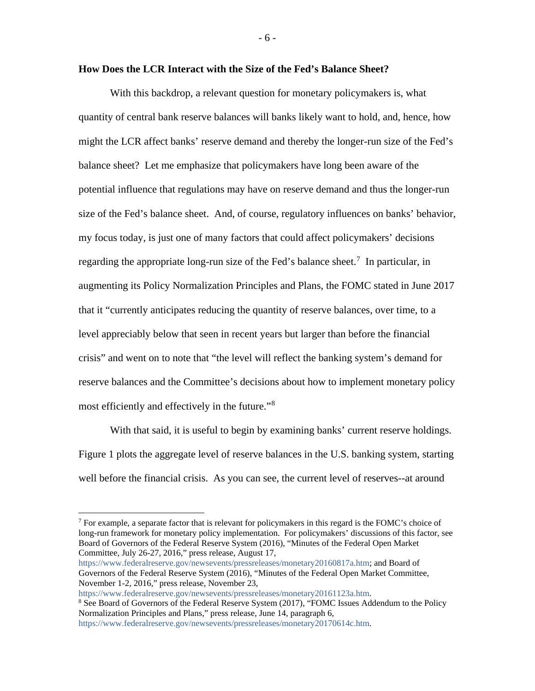## **How Does the LCR Interact with the Size of the Fed's Balance Sheet?**

- 6 -

With this backdrop, a relevant question for monetary policymakers is, what quantity of central bank reserve balances will banks likely want to hold, and, hence, how might the LCR affect banks' reserve demand and thereby the longer-run size of the Fed's balance sheet? Let me emphasize that policymakers have long been aware of the potential influence that regulations may have on reserve demand and thus the longer-run size of the Fed's balance sheet. And, of course, regulatory influences on banks' behavior, my focus today, is just one of many factors that could affect policymakers' decisions regarding the appropriate long-run size of the Fed's balance sheet.<sup>[7](#page-6-0)</sup> In particular, in augmenting its Policy Normalization Principles and Plans, the FOMC stated in June 2017 that it "currently anticipates reducing the quantity of reserve balances, over time, to a level appreciably below that seen in recent years but larger than before the financial crisis" and went on to note that "the level will reflect the banking system's demand for reserve balances and the Committee's decisions about how to implement monetary policy most efficiently and effectively in the future."<sup>[8](#page-6-1)</sup>

With that said, it is useful to begin by examining banks' current reserve holdings. Figure 1 plots the aggregate level of reserve balances in the U.S. banking system, starting well before the financial crisis. As you can see, the current level of reserves--at around

Normalization Principles and Plans," press release, June 14, paragraph 6,

<span id="page-6-0"></span> $<sup>7</sup>$  For example, a separate factor that is relevant for policymakers in this regard is the FOMC's choice of</sup> long-run framework for monetary policy implementation. For policymakers' discussions of this factor, see Board of Governors of the Federal Reserve System (2016), "Minutes of the Federal Open Market Committee, July 26-27, 2016," press release, August 17,

[https://www.federalreserve.gov/newsevents/pressreleases/monetary20160817a.htm;](https://www.federalreserve.gov/newsevents/pressreleases/monetary20160817a.htm) and Board of Governors of the Federal Reserve System (2016), "Minutes of the Federal Open Market Committee, November 1-2, 2016," press release, November 23,

<span id="page-6-1"></span>[https://www.federalreserve.gov/newsevents/pressreleases/monetary20161123a.htm.](https://www.federalreserve.gov/newsevents/pressreleases/monetary20161123a.htm)<br><sup>8</sup> See Board of Governors of the Federal Reserve System (2017), "FOMC Issues Addendum to the Policy

[https://www.federalreserve.gov/newsevents/pressreleases/monetary20170614c.htm.](https://www.federalreserve.gov/newsevents/pressreleases/monetary20170614c.htm)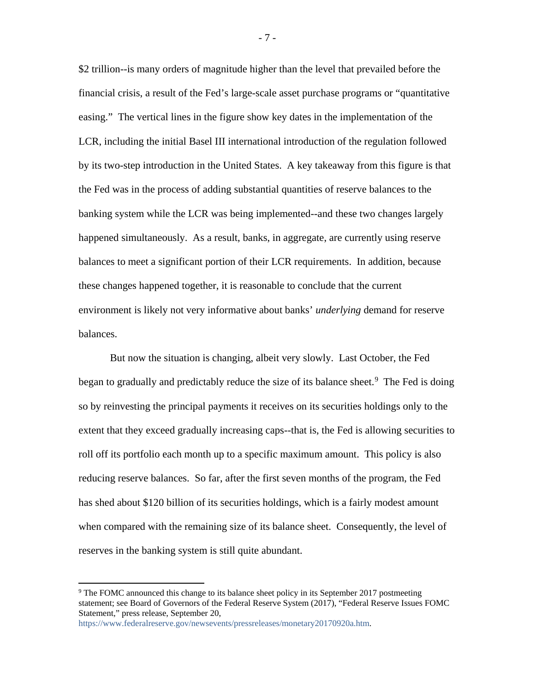\$2 trillion--is many orders of magnitude higher than the level that prevailed before the financial crisis, a result of the Fed's large-scale asset purchase programs or "quantitative easing." The vertical lines in the figure show key dates in the implementation of the LCR, including the initial Basel III international introduction of the regulation followed by its two-step introduction in the United States. A key takeaway from this figure is that the Fed was in the process of adding substantial quantities of reserve balances to the banking system while the LCR was being implemented--and these two changes largely happened simultaneously. As a result, banks, in aggregate, are currently using reserve balances to meet a significant portion of their LCR requirements. In addition, because these changes happened together, it is reasonable to conclude that the current environment is likely not very informative about banks' *underlying* demand for reserve balances.

But now the situation is changing, albeit very slowly. Last October, the Fed began to gradually and predictably reduce the size of its balance sheet.<sup>[9](#page-7-0)</sup> The Fed is doing so by reinvesting the principal payments it receives on its securities holdings only to the extent that they exceed gradually increasing caps--that is, the Fed is allowing securities to roll off its portfolio each month up to a specific maximum amount. This policy is also reducing reserve balances. So far, after the first seven months of the program, the Fed has shed about \$120 billion of its securities holdings, which is a fairly modest amount when compared with the remaining size of its balance sheet. Consequently, the level of reserves in the banking system is still quite abundant.

- 7 -

<span id="page-7-0"></span><sup>&</sup>lt;sup>9</sup> The FOMC announced this change to its balance sheet policy in its September 2017 postmeeting statement; see Board of Governors of the Federal Reserve System (2017), "Federal Reserve Issues FOMC Statement," press release, September 20,

[https://www.federalreserve.gov/newsevents/pressreleases/monetary20170920a.htm.](https://www.federalreserve.gov/newsevents/pressreleases/monetary20170920a.htm)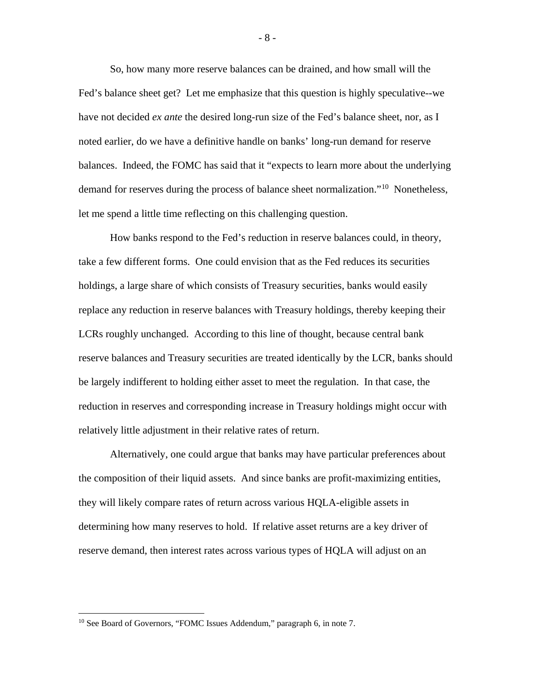So, how many more reserve balances can be drained, and how small will the Fed's balance sheet get? Let me emphasize that this question is highly speculative--we have not decided *ex ante* the desired long-run size of the Fed's balance sheet, nor, as I noted earlier, do we have a definitive handle on banks' long-run demand for reserve balances. Indeed, the FOMC has said that it "expects to learn more about the underlying demand for reserves during the process of balance sheet normalization."<sup>[10](#page-8-0)</sup> Nonetheless, let me spend a little time reflecting on this challenging question.

How banks respond to the Fed's reduction in reserve balances could, in theory, take a few different forms. One could envision that as the Fed reduces its securities holdings, a large share of which consists of Treasury securities, banks would easily replace any reduction in reserve balances with Treasury holdings, thereby keeping their LCRs roughly unchanged. According to this line of thought, because central bank reserve balances and Treasury securities are treated identically by the LCR, banks should be largely indifferent to holding either asset to meet the regulation. In that case, the reduction in reserves and corresponding increase in Treasury holdings might occur with relatively little adjustment in their relative rates of return.

Alternatively, one could argue that banks may have particular preferences about the composition of their liquid assets. And since banks are profit-maximizing entities, they will likely compare rates of return across various HQLA-eligible assets in determining how many reserves to hold. If relative asset returns are a key driver of reserve demand, then interest rates across various types of HQLA will adjust on an

<span id="page-8-0"></span><sup>&</sup>lt;sup>10</sup> See Board of Governors, "FOMC Issues Addendum," paragraph 6, in note 7.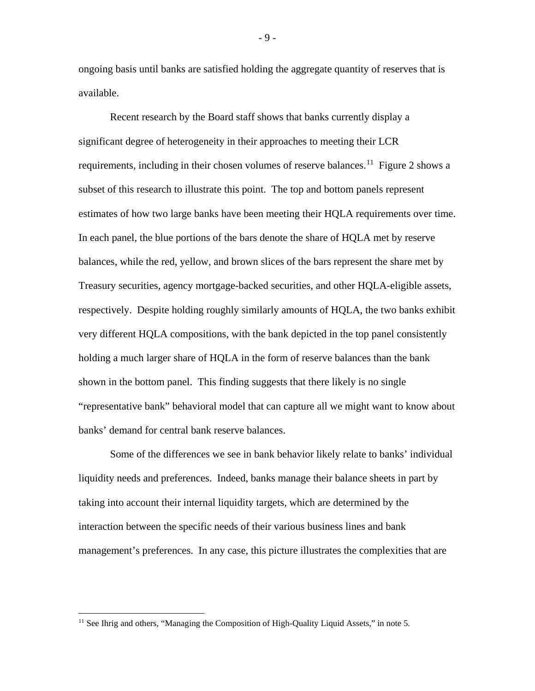ongoing basis until banks are satisfied holding the aggregate quantity of reserves that is available.

Recent research by the Board staff shows that banks currently display a significant degree of heterogeneity in their approaches to meeting their LCR requirements, including in their chosen volumes of reserve balances.<sup>11</sup> Figure 2 shows a subset of this research to illustrate this point. The top and bottom panels represent estimates of how two large banks have been meeting their HQLA requirements over time. In each panel, the blue portions of the bars denote the share of HQLA met by reserve balances, while the red, yellow, and brown slices of the bars represent the share met by Treasury securities, agency mortgage-backed securities, and other HQLA-eligible assets, respectively. Despite holding roughly similarly amounts of HQLA, the two banks exhibit very different HQLA compositions, with the bank depicted in the top panel consistently holding a much larger share of HQLA in the form of reserve balances than the bank shown in the bottom panel. This finding suggests that there likely is no single "representative bank" behavioral model that can capture all we might want to know about banks' demand for central bank reserve balances.

Some of the differences we see in bank behavior likely relate to banks' individual liquidity needs and preferences. Indeed, banks manage their balance sheets in part by taking into account their internal liquidity targets, which are determined by the interaction between the specific needs of their various business lines and bank management's preferences. In any case, this picture illustrates the complexities that are

- 9 -

<span id="page-9-0"></span><sup>&</sup>lt;sup>11</sup> See Ihrig and others, "Managing the Composition of High-Quality Liquid Assets," in note 5.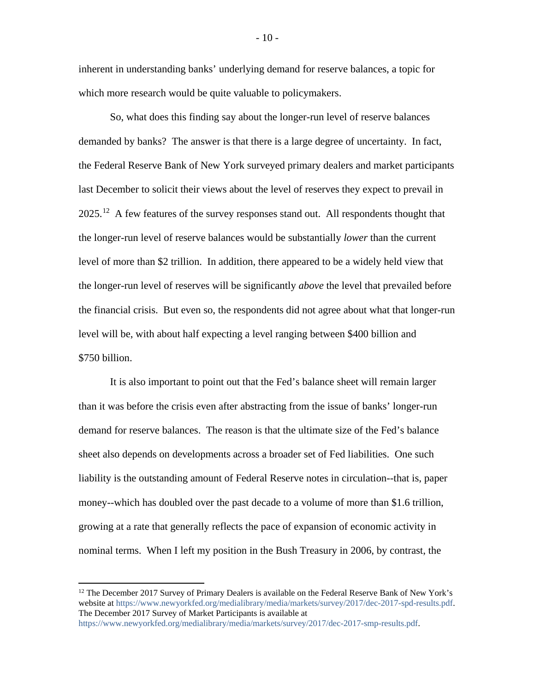inherent in understanding banks' underlying demand for reserve balances, a topic for which more research would be quite valuable to policymakers.

So, what does this finding say about the longer-run level of reserve balances demanded by banks? The answer is that there is a large degree of uncertainty. In fact, the Federal Reserve Bank of New York surveyed primary dealers and market participants last December to solicit their views about the level of reserves they expect to prevail in  $2025$ <sup>12</sup> A few features of the survey responses stand out. All respondents thought that the longer-run level of reserve balances would be substantially *lower* than the current level of more than \$2 trillion. In addition, there appeared to be a widely held view that the longer-run level of reserves will be significantly *above* the level that prevailed before the financial crisis. But even so, the respondents did not agree about what that longer-run level will be, with about half expecting a level ranging between \$400 billion and \$750 billion.

It is also important to point out that the Fed's balance sheet will remain larger than it was before the crisis even after abstracting from the issue of banks' longer-run demand for reserve balances. The reason is that the ultimate size of the Fed's balance sheet also depends on developments across a broader set of Fed liabilities. One such liability is the outstanding amount of Federal Reserve notes in circulation--that is, paper money--which has doubled over the past decade to a volume of more than \$1.6 trillion, growing at a rate that generally reflects the pace of expansion of economic activity in nominal terms. When I left my position in the Bush Treasury in 2006, by contrast, the

<span id="page-10-0"></span><sup>&</sup>lt;sup>12</sup> The December 2017 Survey of Primary Dealers is available on the Federal Reserve Bank of New York's website at [https://www.newyorkfed.org/medialibrary/media/markets/survey/2017/dec-2017-spd-results.pdf.](https://www.newyorkfed.org/medialibrary/media/markets/survey/2017/dec-2017-spd-results.pdf)  The December 2017 Survey of Market Participants is available at

[https://www.newyorkfed.org/medialibrary/media/markets/survey/2017/dec-2017-smp-results.pdf.](https://www.newyorkfed.org/medialibrary/media/markets/survey/2017/dec-2017-spd-results.pdf)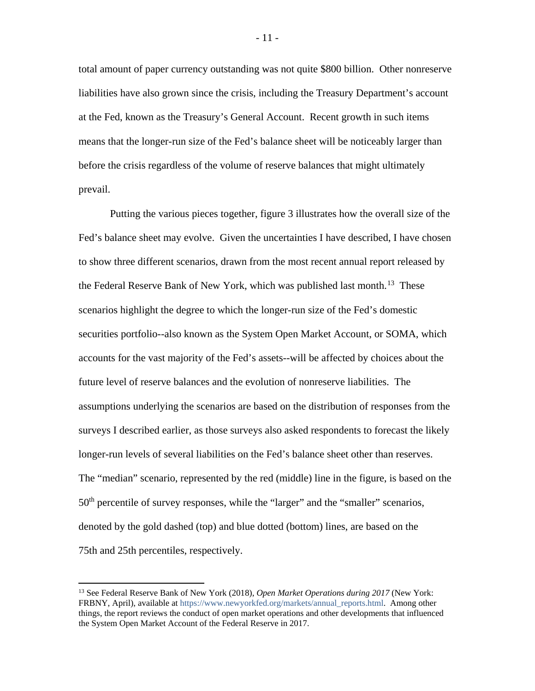total amount of paper currency outstanding was not quite \$800 billion. Other nonreserve liabilities have also grown since the crisis, including the Treasury Department's account at the Fed, known as the Treasury's General Account. Recent growth in such items means that the longer-run size of the Fed's balance sheet will be noticeably larger than before the crisis regardless of the volume of reserve balances that might ultimately prevail.

Putting the various pieces together, figure 3 illustrates how the overall size of the Fed's balance sheet may evolve. Given the uncertainties I have described, I have chosen to show three different scenarios, drawn from the most recent annual report released by the Federal Reserve Bank of New York, which was published last month.<sup>13</sup> These scenarios highlight the degree to which the longer-run size of the Fed's domestic securities portfolio--also known as the System Open Market Account, or SOMA, which accounts for the vast majority of the Fed's assets--will be affected by choices about the future level of reserve balances and the evolution of nonreserve liabilities. The assumptions underlying the scenarios are based on the distribution of responses from the surveys I described earlier, as those surveys also asked respondents to forecast the likely longer-run levels of several liabilities on the Fed's balance sheet other than reserves. The "median" scenario, represented by the red (middle) line in the figure, is based on the 50<sup>th</sup> percentile of survey responses, while the "larger" and the "smaller" scenarios, denoted by the gold dashed (top) and blue dotted (bottom) lines, are based on the 75th and 25th percentiles, respectively.

<span id="page-11-0"></span> <sup>13</sup> See Federal Reserve Bank of New York (2018), *Open Market Operations during 2017* (New York: FRBNY, April), available at [https://www.newyorkfed.org/markets/annual\\_reports.html.](https://www.newyorkfed.org/markets/annual_reports.html) Among other things, the report reviews the conduct of open market operations and other developments that influenced the System Open Market Account of the Federal Reserve in 2017.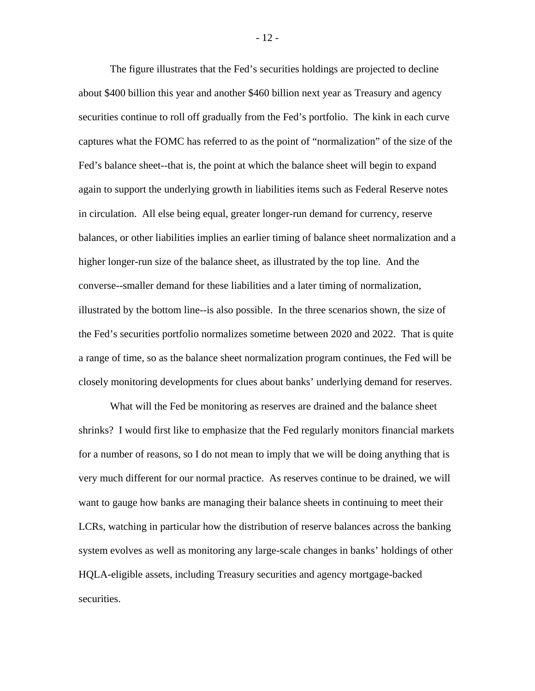The figure illustrates that the Fed's securities holdings are projected to decline about \$400 billion this year and another \$460 billion next year as Treasury and agency securities continue to roll off gradually from the Fed's portfolio. The kink in each curve captures what the FOMC has referred to as the point of "normalization" of the size of the Fed's balance sheet--that is, the point at which the balance sheet will begin to expand again to support the underlying growth in liabilities items such as Federal Reserve notes in circulation. All else being equal, greater longer-run demand for currency, reserve balances, or other liabilities implies an earlier timing of balance sheet normalization and a higher longer-run size of the balance sheet, as illustrated by the top line. And the converse--smaller demand for these liabilities and a later timing of normalization, illustrated by the bottom line--is also possible. In the three scenarios shown, the size of the Fed's securities portfolio normalizes sometime between 2020 and 2022. That is quite a range of time, so as the balance sheet normalization program continues, the Fed will be closely monitoring developments for clues about banks' underlying demand for reserves.

What will the Fed be monitoring as reserves are drained and the balance sheet shrinks? I would first like to emphasize that the Fed regularly monitors financial markets for a number of reasons, so I do not mean to imply that we will be doing anything that is very much different for our normal practice. As reserves continue to be drained, we will want to gauge how banks are managing their balance sheets in continuing to meet their LCRs, watching in particular how the distribution of reserve balances across the banking system evolves as well as monitoring any large-scale changes in banks' holdings of other HQLA-eligible assets, including Treasury securities and agency mortgage-backed securities.

- 12 -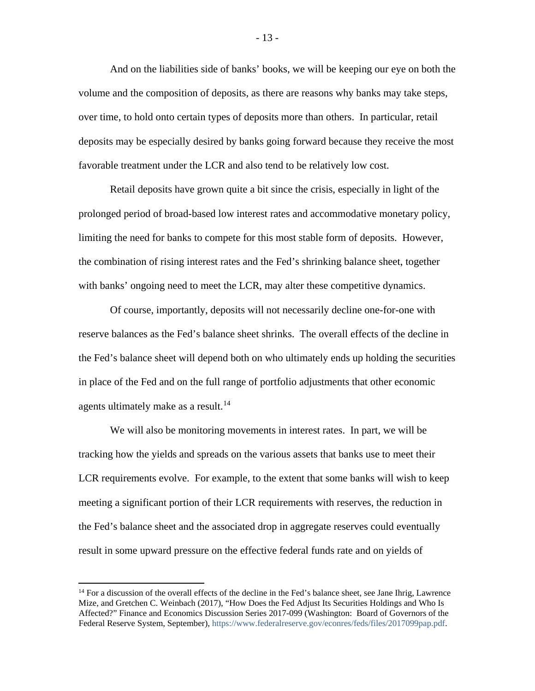And on the liabilities side of banks' books, we will be keeping our eye on both the volume and the composition of deposits, as there are reasons why banks may take steps, over time, to hold onto certain types of deposits more than others. In particular, retail deposits may be especially desired by banks going forward because they receive the most favorable treatment under the LCR and also tend to be relatively low cost.

Retail deposits have grown quite a bit since the crisis, especially in light of the prolonged period of broad-based low interest rates and accommodative monetary policy, limiting the need for banks to compete for this most stable form of deposits. However, the combination of rising interest rates and the Fed's shrinking balance sheet, together with banks' ongoing need to meet the LCR, may alter these competitive dynamics.

Of course, importantly, deposits will not necessarily decline one-for-one with reserve balances as the Fed's balance sheet shrinks. The overall effects of the decline in the Fed's balance sheet will depend both on who ultimately ends up holding the securities in place of the Fed and on the full range of portfolio adjustments that other economic agents ultimately make as a result.<sup>14</sup>

We will also be monitoring movements in interest rates. In part, we will be tracking how the yields and spreads on the various assets that banks use to meet their LCR requirements evolve. For example, to the extent that some banks will wish to keep meeting a significant portion of their LCR requirements with reserves, the reduction in the Fed's balance sheet and the associated drop in aggregate reserves could eventually result in some upward pressure on the effective federal funds rate and on yields of

- 13 -

<span id="page-13-0"></span><sup>&</sup>lt;sup>14</sup> For a discussion of the overall effects of the decline in the Fed's balance sheet, see Jane Ihrig, Lawrence Mize, and Gretchen C. Weinbach (2017), "How Does the Fed Adjust Its Securities Holdings and Who Is Affected?" Finance and Economics Discussion Series 2017-099 (Washington: Board of Governors of the Federal Reserve System, September), [https://www.federalreserve.gov/econres/feds/files/2017099pap.pdf.](https://www.federalreserve.gov/econres/feds/files/2017099pap.pdf)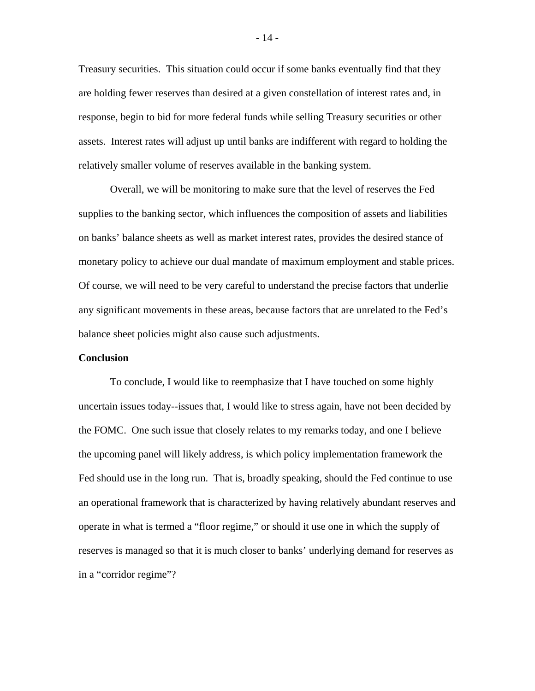Treasury securities. This situation could occur if some banks eventually find that they are holding fewer reserves than desired at a given constellation of interest rates and, in response, begin to bid for more federal funds while selling Treasury securities or other assets. Interest rates will adjust up until banks are indifferent with regard to holding the relatively smaller volume of reserves available in the banking system.

Overall, we will be monitoring to make sure that the level of reserves the Fed supplies to the banking sector, which influences the composition of assets and liabilities on banks' balance sheets as well as market interest rates, provides the desired stance of monetary policy to achieve our dual mandate of maximum employment and stable prices. Of course, we will need to be very careful to understand the precise factors that underlie any significant movements in these areas, because factors that are unrelated to the Fed's balance sheet policies might also cause such adjustments.

## **Conclusion**

To conclude, I would like to reemphasize that I have touched on some highly uncertain issues today--issues that, I would like to stress again, have not been decided by the FOMC. One such issue that closely relates to my remarks today, and one I believe the upcoming panel will likely address, is which policy implementation framework the Fed should use in the long run. That is, broadly speaking, should the Fed continue to use an operational framework that is characterized by having relatively abundant reserves and operate in what is termed a "floor regime," or should it use one in which the supply of reserves is managed so that it is much closer to banks' underlying demand for reserves as in a "corridor regime"?